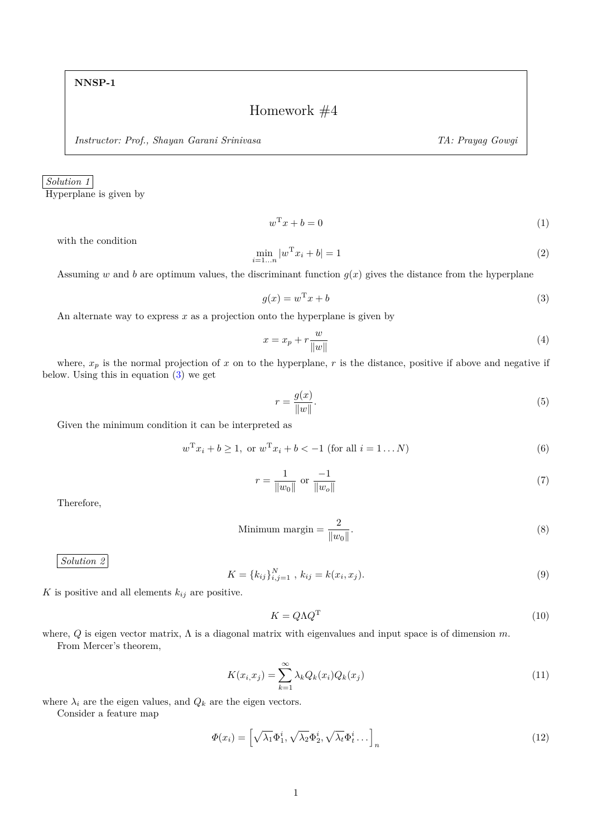## Homework #4

*Instructor: Prof., Shayan Garani Srinivasa TA: Prayag Gowgi*

*Solution 1*

Hyperplane is given by

 $w^{\mathrm{T}}x + b = 0$  (1)

with the condition

$$
\min_{i=1...n} |w^{\mathrm{T}} x_i + b| = 1 \tag{2}
$$

Assuming *w* and *b* are optimum values, the discriminant function  $g(x)$  gives the distance from the hyperplane

<span id="page-0-0"></span>
$$
g(x) = w^{\mathrm{T}}x + b \tag{3}
$$

An alternate way to express *x* as a projection onto the hyperplane is given by

$$
x = x_p + r \frac{w}{\|w\|} \tag{4}
$$

where,  $x_p$  is the normal projection of  $x$  on to the hyperplane,  $r$  is the distance, positive if above and negative if below. Using this in equation [\(3\)](#page-0-0) we get

$$
r = \frac{g(x)}{\|w\|}.\tag{5}
$$

Given the minimum condition it can be interpreted as

$$
w^{\mathrm{T}}x_i + b \ge 1, \text{ or } w^{\mathrm{T}}x_i + b < -1 \text{ (for all } i = 1...N\text{)}
$$
\n<sup>(6)</sup>

$$
r = \frac{1}{\|w_0\|} \text{ or } \frac{-1}{\|w_o\|} \tag{7}
$$

Therefore,

$$
\text{Minimum margin} = \frac{2}{\|w_0\|}.\tag{8}
$$

*Solution 2*

$$
K = \{k_{ij}\}_{i,j=1}^N, \ k_{ij} = k(x_i, x_j). \tag{9}
$$

*K* is positive and all elements  $k_{ij}$  are positive.

$$
K = Q\Lambda Q^{\mathrm{T}} \tag{10}
$$

where, *Q* is eigen vector matrix, Λ is a diagonal matrix with eigenvalues and input space is of dimension *m*. From Mercer's theorem,

$$
K(x_i, x_j) = \sum_{k=1}^{\infty} \lambda_k Q_k(x_i) Q_k(x_j)
$$
\n(11)

where  $\lambda_i$  are the eigen values, and  $Q_k$  are the eigen vectors.

Consider a feature map

$$
\Phi(x_i) = \left[\sqrt{\lambda_1} \Phi_1^i, \sqrt{\lambda_2} \Phi_2^i, \sqrt{\lambda_t} \Phi_t^i \dots \right]_n
$$
\n(12)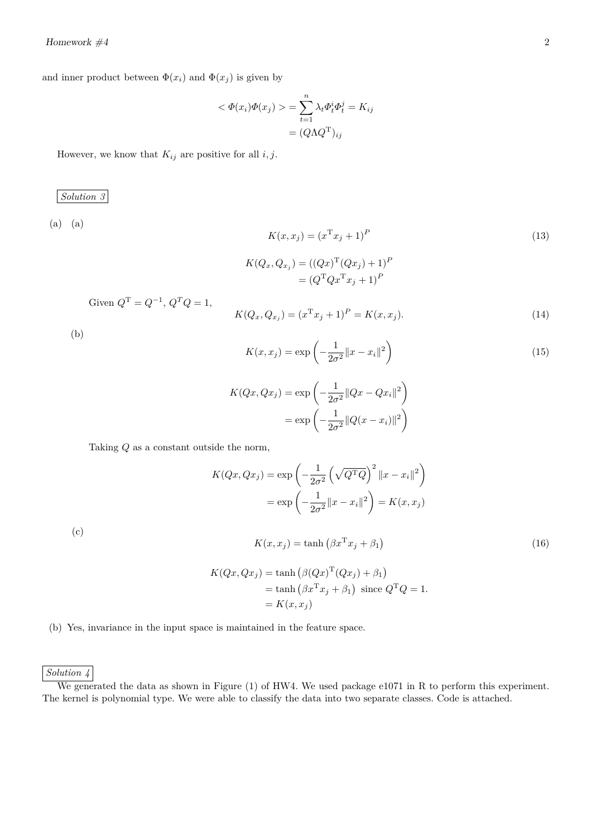and inner product between  $\Phi(x_i)$  and  $\Phi(x_j)$  is given by

$$
\langle \Phi(x_i)\Phi(x_j) \rangle = \sum_{t=1}^n \lambda_t \Phi_t^i \Phi_t^j = K_{ij}
$$

$$
= (Q\Lambda Q^{\mathrm{T}})_{ij}
$$

However, we know that  $K_{ij}$  are positive for all  $i, j$ .

*Solution 3*

(a) (a)

$$
K(x, x_j) = (x^{\mathrm{T}} x_j + 1)^P
$$
  
\n
$$
K(Q_x, Q_{x_j}) = ((Qx)^{\mathrm{T}} (Qx_j) + 1)^P
$$
  
\n
$$
= (Q^{\mathrm{T}} Q x^{\mathrm{T}} x_j + 1)^P
$$
\n(13)

Given  $Q^{\text{T}} = Q^{-1}$ ,  $Q^T Q = 1$ ,

$$
K(Q_x, Q_{x_j}) = (x^{\mathrm{T}} x_j + 1)^P = K(x, x_j). \tag{14}
$$

(b)

$$
K(x, x_j) = \exp\left(-\frac{1}{2\sigma^2}||x - x_i||^2\right)
$$
 (15)

$$
K(Qx, Qx_j) = \exp\left(-\frac{1}{2\sigma^2} ||Qx - Qx_i||^2\right)
$$

$$
= \exp\left(-\frac{1}{2\sigma^2} ||Q(x - x_i)||^2\right)
$$

Taking *Q* as a constant outside the norm,

$$
K(Qx, Qx_j) = \exp\left(-\frac{1}{2\sigma^2} \left(\sqrt{Q^TQ}\right)^2 \|x - x_i\|^2\right)
$$

$$
= \exp\left(-\frac{1}{2\sigma^2} \|x - x_i\|^2\right) = K(x, x_j)
$$

(c)

$$
K(x, x_j) = \tanh\left(\beta x^{\mathrm{T}} x_j + \beta_1\right) \tag{16}
$$

$$
K(Qx, Qx_j) = \tanh (\beta (Qx)^{T} (Qx_j) + \beta_1)
$$
  
= tanh  $(\beta x^{T} x_j + \beta_1)$  since  $Q^{T} Q = 1$ .  
=  $K(x, x_j)$ 

(b) Yes, invariance in the input space is maintained in the feature space.

*Solution 4*

We generated the data as shown in Figure (1) of HW4. We used package e1071 in R to perform this experiment. The kernel is polynomial type. We were able to classify the data into two separate classes. Code is attached.